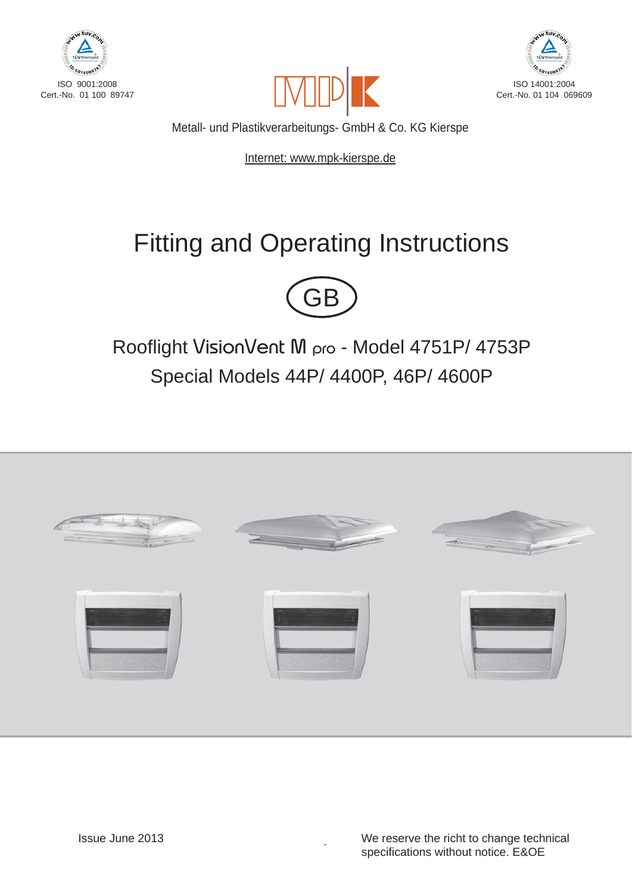





Metall- und Plastikverarbeitungs- GmbH & Co. KG Kierspe

Internet: www.mpk-kierspe.de

# Fitting and Operating Instructions



Rooflight VisionVent M pro - Model 4751P/ 4753P Special Models 44P/ 4400P, 46P/ 4600P



 $\mathbf{r}$ 

 We reserve the richt to change technical specifications without notice. E&OE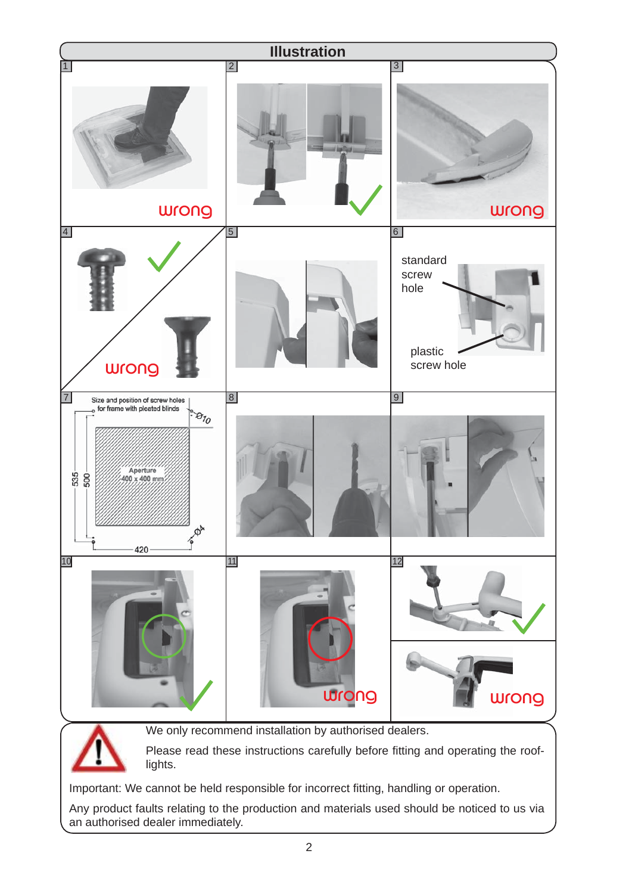

Important: We cannot be held responsible for incorrect fitting, handling or operation.

Any product faults relating to the production and materials used should be noticed to us via an authorised dealer immediately.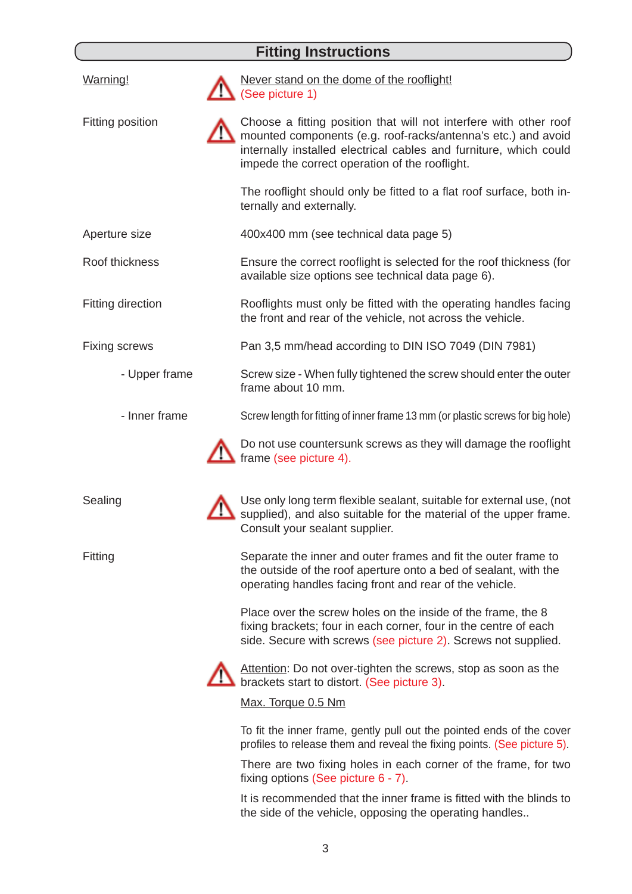## **Fitting Instructions**

| Warning!                 | Never stand on the dome of the rooflight!<br>(See picture 1)                                                                                                                                                                                              |  |
|--------------------------|-----------------------------------------------------------------------------------------------------------------------------------------------------------------------------------------------------------------------------------------------------------|--|
| Fitting position         | Choose a fitting position that will not interfere with other roof<br>mounted components (e.g. roof-racks/antenna's etc.) and avoid<br>internally installed electrical cables and furniture, which could<br>impede the correct operation of the rooflight. |  |
|                          | The rooflight should only be fitted to a flat roof surface, both in-<br>ternally and externally.                                                                                                                                                          |  |
| Aperture size            | 400x400 mm (see technical data page 5)                                                                                                                                                                                                                    |  |
| Roof thickness           | Ensure the correct rooflight is selected for the roof thickness (for<br>available size options see technical data page 6).                                                                                                                                |  |
| <b>Fitting direction</b> | Rooflights must only be fitted with the operating handles facing<br>the front and rear of the vehicle, not across the vehicle.                                                                                                                            |  |
| <b>Fixing screws</b>     | Pan 3,5 mm/head according to DIN ISO 7049 (DIN 7981)                                                                                                                                                                                                      |  |
| - Upper frame            | Screw size - When fully tightened the screw should enter the outer<br>frame about 10 mm.                                                                                                                                                                  |  |
| - Inner frame            | Screw length for fitting of inner frame 13 mm (or plastic screws for big hole)                                                                                                                                                                            |  |
|                          | Do not use countersunk screws as they will damage the rooflight<br>frame (see picture 4).                                                                                                                                                                 |  |
| Sealing                  | Use only long term flexible sealant, suitable for external use, (not<br>supplied), and also suitable for the material of the upper frame.<br>Consult your sealant supplier.                                                                               |  |
| Fitting                  | Separate the inner and outer frames and fit the outer frame to<br>the outside of the roof aperture onto a bed of sealant, with the<br>operating handles facing front and rear of the vehicle.                                                             |  |
|                          | Place over the screw holes on the inside of the frame, the 8<br>fixing brackets; four in each corner, four in the centre of each<br>side. Secure with screws (see picture 2). Screws not supplied.                                                        |  |
|                          | Attention: Do not over-tighten the screws, stop as soon as the<br>brackets start to distort. (See picture 3).                                                                                                                                             |  |
|                          | Max. Torque 0.5 Nm                                                                                                                                                                                                                                        |  |
|                          | To fit the inner frame, gently pull out the pointed ends of the cover<br>profiles to release them and reveal the fixing points. (See picture 5).                                                                                                          |  |
|                          | There are two fixing holes in each corner of the frame, for two<br>fixing options (See picture 6 - 7).                                                                                                                                                    |  |
|                          | recommended that the inner frame in fitted with th                                                                                                                                                                                                        |  |

It is recommended that the inner frame is fitted with the blinds to the side of the vehicle, opposing the operating handles..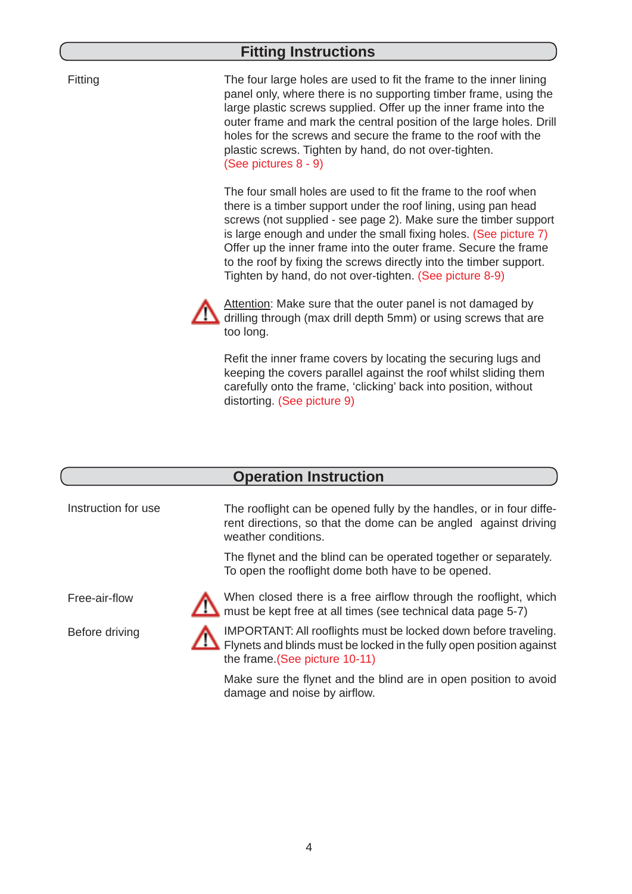#### **Fitting Instructions**

Fitting

The four large holes are used to fit the frame to the inner lining panel only, where there is no supporting timber frame, using the large plastic screws supplied. Offer up the inner frame into the outer frame and mark the central position of the large holes. Drill holes for the screws and secure the frame to the roof with the plastic screws. Tighten by hand, do not over-tighten. (See pictures 8 - 9)

The four small holes are used to fit the frame to the roof when there is a timber support under the roof lining, using pan head screws (not supplied - see page 2). Make sure the timber support is large enough and under the small fixing holes. (See picture 7) Offer up the inner frame into the outer frame. Secure the frame to the roof by fixing the screws directly into the timber support. Tighten by hand, do not over-tighten. (See picture 8-9)



Attention: Make sure that the outer panel is not damaged by drilling through (max drill depth 5mm) or using screws that are too long.

Refit the inner frame covers by locating the securing lugs and keeping the covers parallel against the roof whilst sliding them carefully onto the frame, 'clicking' back into position, without distorting. (See picture 9)

#### **Operation Instruction**

Instruction for use

The rooflight can be opened fully by the handles, or in four different directions, so that the dome can be angled against driving weather conditions.

The flynet and the blind can be operated together or separately. To open the rooflight dome both have to be opened.

Free-air-flow

Before driving



When closed there is a free airflow through the rooflight, which must be kept free at all times (see technical data page 5-7)

IMPORTANT: All rooflights must be locked down before traveling. Flynets and blinds must be locked in the fully open position against the frame.(See picture 10-11)

Make sure the flynet and the blind are in open position to avoid damage and noise by airflow.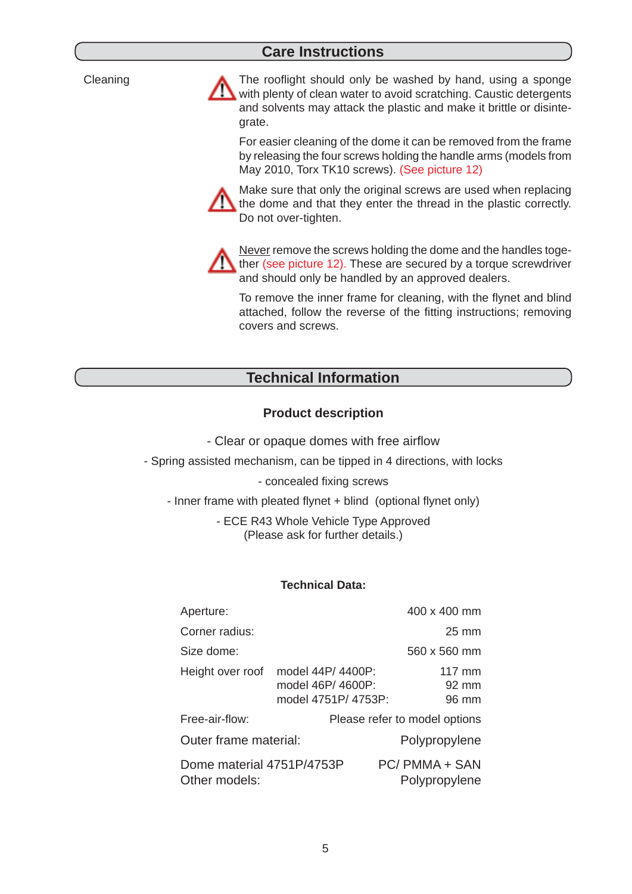#### **Care Instructions**

**Cleaning** 

The rooflight should only be washed by hand, using a sponge with plenty of clean water to avoid scratching. Caustic detergents and solvents may attack the plastic and make it brittle or disintegrate.

For easier cleaning of the dome it can be removed from the frame by releasing the four screws holding the handle arms (models from May 2010, Torx TK10 screws). (See picture 12)

Make sure that only the original screws are used when replacing the dome and that they enter the thread in the plastic correctly. Do not over-tighten.



Never remove the screws holding the dome and the handles together (see picture 12). These are secured by a torque screwdriver and should only be handled by an approved dealers.

To remove the inner frame for cleaning, with the flynet and blind attached, follow the reverse of the fitting instructions; removing covers and screws.

### **Technical Information**

#### **Product description**

- Clear or opaque domes with free airflow

- Spring assisted mechanism, can be tipped in 4 directions, with locks

- concealed fixing screws

- Inner frame with pleated flynet + blind (optional flynet only)

- ECE R43 Whole Vehicle Type Approved (Please ask for further details.)

#### **Technical Data:**

| Aperture:                                  |                                                               | 400 x 400 mm                                 |
|--------------------------------------------|---------------------------------------------------------------|----------------------------------------------|
| Corner radius:                             |                                                               | $25 \text{ mm}$                              |
| Size dome:                                 |                                                               | 560 x 560 mm                                 |
| Height over roof                           | model 44P/ 4400P:<br>model 46P/ 4600P:<br>model 4751P/ 4753P: | $117 \text{ mm}$<br>$92 \text{ mm}$<br>96 mm |
| Free-air-flow:                             |                                                               | Please refer to model options                |
| Outer frame material:                      |                                                               | Polypropylene                                |
| Dome material 4751P/4753P<br>Other models: |                                                               | PC/PMMA + SAN<br>Polypropylene               |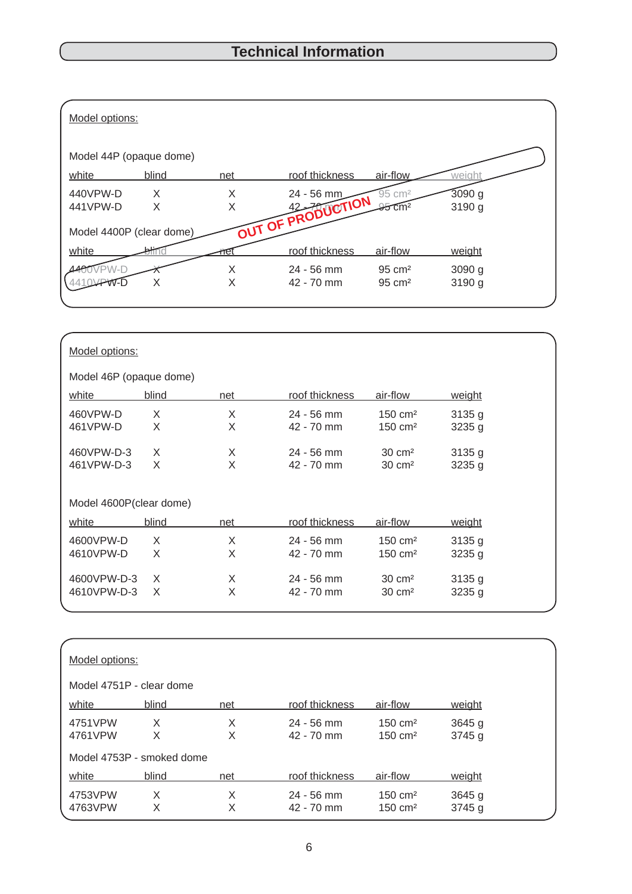| Model options:           |        |        |                                 |                                            |                    |  |
|--------------------------|--------|--------|---------------------------------|--------------------------------------------|--------------------|--|
| Model 44P (opaque dome)  |        |        |                                 |                                            |                    |  |
| white                    | blind  | net    | roof thickness                  | air-flow                                   | weight             |  |
| 440VPW-D<br>441VPW-D     | X<br>X | X      | 24 - 56 mm<br>OUT OF PRODUCTION | 95 cm <sup>2</sup><br>$35$ cm <sup>2</sup> | 3090g<br>3190 g    |  |
| Model 4400P (clear dome) |        |        |                                 |                                            |                    |  |
| white                    |        |        | roof thickness                  | air-flow                                   | weight             |  |
|                          | X      | Χ<br>X | $24 - 56$ mm<br>42 - 70 mm      | $95 \text{ cm}^2$<br>$95 \text{ cm}^2$     | $3090$ g<br>3190 g |  |

| Model options:          |       |     |                |                     |               |  |
|-------------------------|-------|-----|----------------|---------------------|---------------|--|
| Model 46P (opaque dome) |       |     |                |                     |               |  |
| white                   | blind | net | roof thickness | air-flow            | weight        |  |
| 460VPW-D                | X     | X   | $24 - 56$ mm   | $150 \text{ cm}^2$  | 3135g         |  |
| 461VPW-D                | X     | X   | 42 - 70 mm     | 150 cm <sup>2</sup> | 3235g         |  |
| 460VPW-D-3              | X     | X   | $24 - 56$ mm   | $30 \text{ cm}^2$   | 3135g         |  |
| 461VPW-D-3              | X     | X   | 42 - 70 mm     | $30 \text{ cm}^2$   | 3235 g        |  |
| Model 4600P(clear dome) |       |     |                |                     |               |  |
| white                   | blind | net | roof thickness | air-flow            | <u>weight</u> |  |
| 4600VPW-D               | X     | X   | $24 - 56$ mm   | $150 \text{ cm}^2$  | 3135g         |  |
| 4610VPW-D               | X     | X   | 42 - 70 mm     | $150 \text{ cm}^2$  | 3235g         |  |
| 4600VPW-D-3             | X     | X   | $24 - 56$ mm   | $30 \text{ cm}^2$   | 3135g         |  |
| 4610VPW-D-3             | X     | X   | 42 - 70 mm     | $30 \text{ cm}^2$   | 3235g         |  |

| Model options: |                           |     |                |                    |          |  |
|----------------|---------------------------|-----|----------------|--------------------|----------|--|
|                | Model 4751P - clear dome  |     |                |                    |          |  |
| white          | blind                     | net | roof thickness | air-flow           | weight   |  |
| 4751VPW        | X                         | X   | $24 - 56$ mm   | $150 \text{ cm}^2$ | 3645 g   |  |
| 4761VPW        | X                         | X   | $42 - 70$ mm   | $150 \text{ cm}^2$ | 3745 g   |  |
|                | Model 4753P - smoked dome |     |                |                    |          |  |
| white          | blind                     | net | roof thickness | air-flow           | weight   |  |
| 4753VPW        | X                         | X   | $24 - 56$ mm   | $150 \text{ cm}^2$ | $3645$ g |  |
| 4763VPW        | Х                         | X   | 42 - 70 mm     | $150 \text{ cm}^2$ | 3745 g   |  |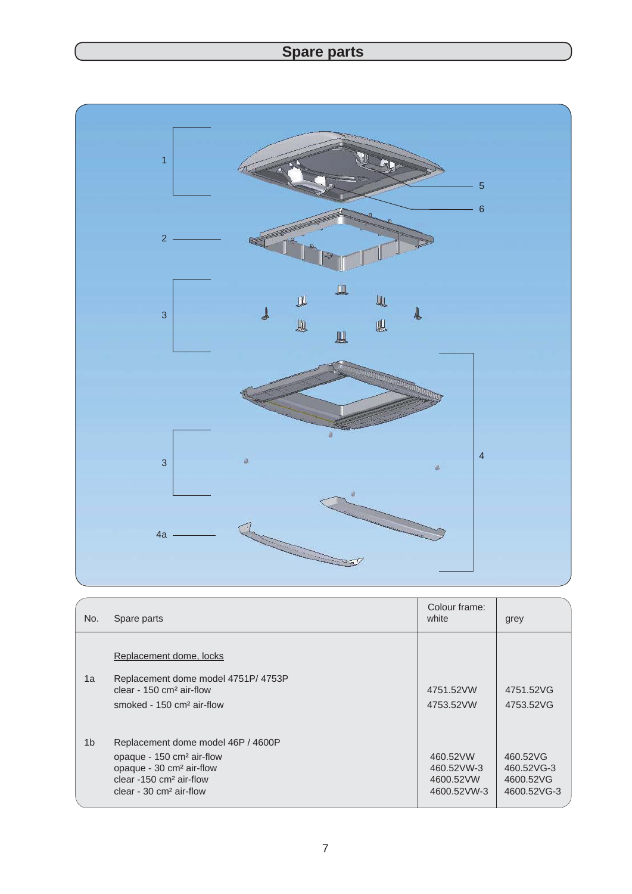# **Spare parts**



| No.            | Spare parts                                                                                                                                                                                        | Colour frame:<br>white                             | grey                                               |
|----------------|----------------------------------------------------------------------------------------------------------------------------------------------------------------------------------------------------|----------------------------------------------------|----------------------------------------------------|
| 1a             | Replacement dome, locks<br>Replacement dome model 4751P/ 4753P<br>clear - $150 \text{ cm}^2$ air-flow<br>smoked - $150 \text{ cm}^2$ air-flow                                                      | 4751.52VW<br>4753.52VW                             | 4751.52VG<br>4753.52VG                             |
| 1 <sub>b</sub> | Replacement dome model 46P / 4600P<br>opaque - 150 cm <sup>2</sup> air-flow<br>opaque - 30 cm <sup>2</sup> air-flow<br>clear $-150$ cm <sup>2</sup> air-flow<br>clear - $30 \text{ cm}^2$ air-flow | 460.52VW<br>460.52VW-3<br>4600.52VW<br>4600.52VW-3 | 460.52VG<br>460.52VG-3<br>4600.52VG<br>4600.52VG-3 |